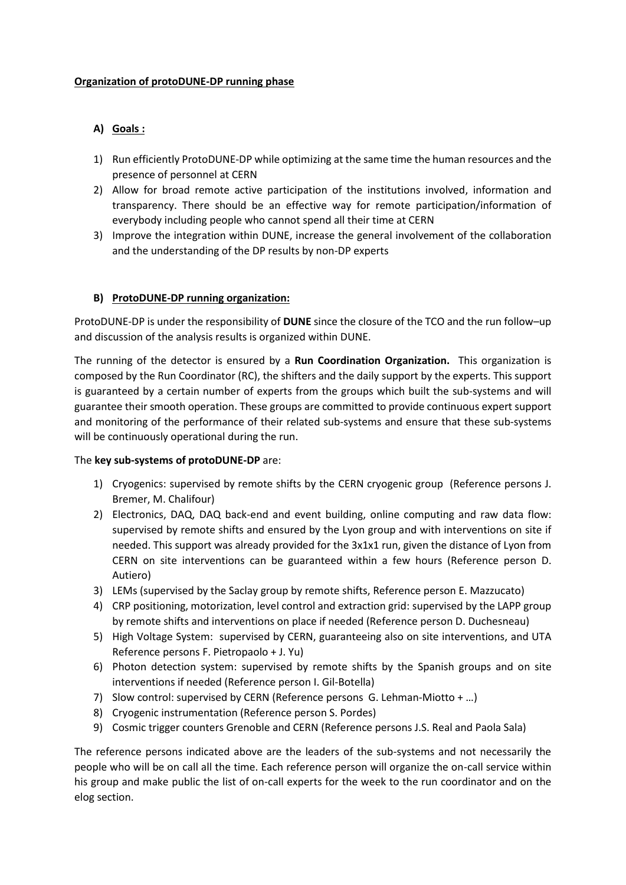## **Organization of protoDUNE-DP running phase**

# **A) Goals :**

- 1) Run efficiently ProtoDUNE-DP while optimizing at the same time the human resources and the presence of personnel at CERN
- 2) Allow for broad remote active participation of the institutions involved, information and transparency. There should be an effective way for remote participation/information of everybody including people who cannot spend all their time at CERN
- 3) Improve the integration within DUNE, increase the general involvement of the collaboration and the understanding of the DP results by non-DP experts

#### **B) ProtoDUNE-DP running organization:**

ProtoDUNE-DP is under the responsibility of **DUNE** since the closure of the TCO and the run follow–up and discussion of the analysis results is organized within DUNE.

The running of the detector is ensured by a **Run Coordination Organization.** This organization is composed by the Run Coordinator (RC), the shifters and the daily support by the experts. This support is guaranteed by a certain number of experts from the groups which built the sub-systems and will guarantee their smooth operation. These groups are committed to provide continuous expert support and monitoring of the performance of their related sub-systems and ensure that these sub-systems will be continuously operational during the run.

#### The **key sub-systems of protoDUNE-DP** are:

- 1) Cryogenics: supervised by remote shifts by the CERN cryogenic group (Reference persons J. Bremer, M. Chalifour)
- 2) Electronics, DAQ, DAQ back-end and event building, online computing and raw data flow: supervised by remote shifts and ensured by the Lyon group and with interventions on site if needed. This support was already provided for the 3x1x1 run, given the distance of Lyon from CERN on site interventions can be guaranteed within a few hours (Reference person D. Autiero)
- 3) LEMs (supervised by the Saclay group by remote shifts, Reference person E. Mazzucato)
- 4) CRP positioning, motorization, level control and extraction grid: supervised by the LAPP group by remote shifts and interventions on place if needed (Reference person D. Duchesneau)
- 5) High Voltage System: supervised by CERN, guaranteeing also on site interventions, and UTA Reference persons F. Pietropaolo + J. Yu)
- 6) Photon detection system: supervised by remote shifts by the Spanish groups and on site interventions if needed (Reference person I. Gil-Botella)
- 7) Slow control: supervised by CERN (Reference persons G. Lehman-Miotto + …)
- 8) Cryogenic instrumentation (Reference person S. Pordes)
- 9) Cosmic trigger counters Grenoble and CERN (Reference persons J.S. Real and Paola Sala)

The reference persons indicated above are the leaders of the sub-systems and not necessarily the people who will be on call all the time. Each reference person will organize the on-call service within his group and make public the list of on-call experts for the week to the run coordinator and on the elog section.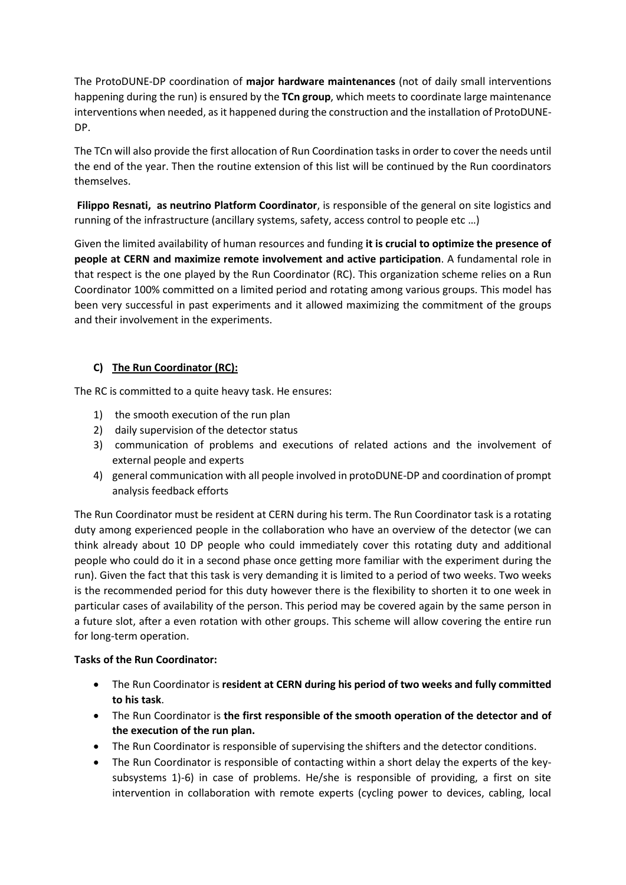The ProtoDUNE-DP coordination of **major hardware maintenances** (not of daily small interventions happening during the run) is ensured by the **TCn group**, which meets to coordinate large maintenance interventions when needed, as it happened during the construction and the installation of ProtoDUNE-DP.

The TCn will also provide the first allocation of Run Coordination tasks in order to cover the needs until the end of the year. Then the routine extension of this list will be continued by the Run coordinators themselves.

**Filippo Resnati, as neutrino Platform Coordinator**, is responsible of the general on site logistics and running of the infrastructure (ancillary systems, safety, access control to people etc …)

Given the limited availability of human resources and funding **it is crucial to optimize the presence of people at CERN and maximize remote involvement and active participation**. A fundamental role in that respect is the one played by the Run Coordinator (RC). This organization scheme relies on a Run Coordinator 100% committed on a limited period and rotating among various groups. This model has been very successful in past experiments and it allowed maximizing the commitment of the groups and their involvement in the experiments.

## **C) The Run Coordinator (RC):**

The RC is committed to a quite heavy task. He ensures:

- 1) the smooth execution of the run plan
- 2) daily supervision of the detector status
- 3) communication of problems and executions of related actions and the involvement of external people and experts
- 4) general communication with all people involved in protoDUNE-DP and coordination of prompt analysis feedback efforts

The Run Coordinator must be resident at CERN during his term. The Run Coordinator task is a rotating duty among experienced people in the collaboration who have an overview of the detector (we can think already about 10 DP people who could immediately cover this rotating duty and additional people who could do it in a second phase once getting more familiar with the experiment during the run). Given the fact that this task is very demanding it is limited to a period of two weeks. Two weeks is the recommended period for this duty however there is the flexibility to shorten it to one week in particular cases of availability of the person. This period may be covered again by the same person in a future slot, after a even rotation with other groups. This scheme will allow covering the entire run for long-term operation.

## **Tasks of the Run Coordinator:**

- The Run Coordinator is **resident at CERN during his period of two weeks and fully committed to his task**.
- The Run Coordinator is **the first responsible of the smooth operation of the detector and of the execution of the run plan.**
- The Run Coordinator is responsible of supervising the shifters and the detector conditions.
- The Run Coordinator is responsible of contacting within a short delay the experts of the keysubsystems 1)-6) in case of problems. He/she is responsible of providing, a first on site intervention in collaboration with remote experts (cycling power to devices, cabling, local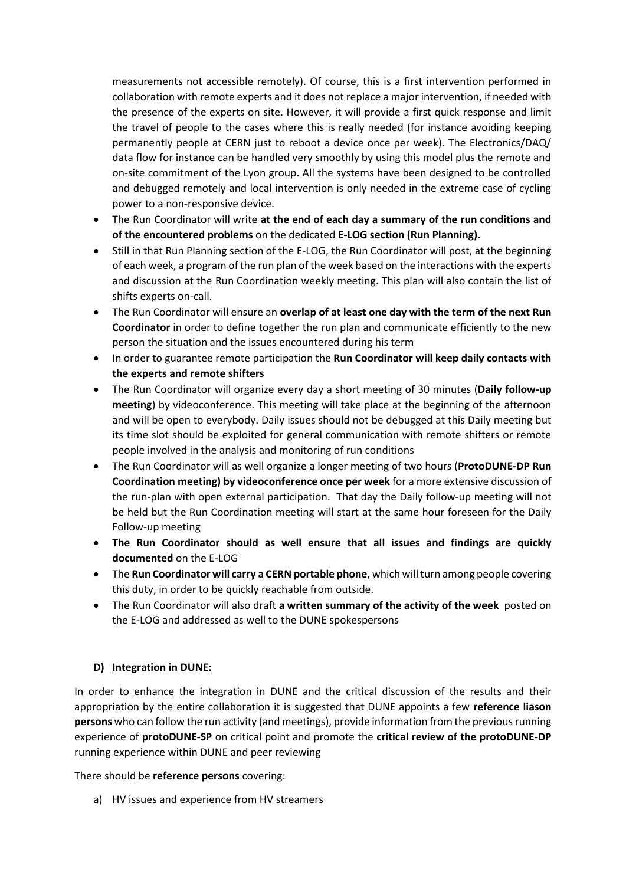measurements not accessible remotely). Of course, this is a first intervention performed in collaboration with remote experts and it does not replace a major intervention, if needed with the presence of the experts on site. However, it will provide a first quick response and limit the travel of people to the cases where this is really needed (for instance avoiding keeping permanently people at CERN just to reboot a device once per week). The Electronics/DAQ/ data flow for instance can be handled very smoothly by using this model plus the remote and on-site commitment of the Lyon group. All the systems have been designed to be controlled and debugged remotely and local intervention is only needed in the extreme case of cycling power to a non-responsive device.

- The Run Coordinator will write **at the end of each day a summary of the run conditions and of the encountered problems** on the dedicated **E-LOG section (Run Planning).**
- Still in that Run Planning section of the E-LOG, the Run Coordinator will post, at the beginning of each week, a program of the run plan of the week based on the interactions with the experts and discussion at the Run Coordination weekly meeting. This plan will also contain the list of shifts experts on-call.
- The Run Coordinator will ensure an **overlap of at least one day with the term of the next Run Coordinator** in order to define together the run plan and communicate efficiently to the new person the situation and the issues encountered during his term
- In order to guarantee remote participation the **Run Coordinator will keep daily contacts with the experts and remote shifters**
- The Run Coordinator will organize every day a short meeting of 30 minutes (**Daily follow-up meeting**) by videoconference. This meeting will take place at the beginning of the afternoon and will be open to everybody. Daily issues should not be debugged at this Daily meeting but its time slot should be exploited for general communication with remote shifters or remote people involved in the analysis and monitoring of run conditions
- The Run Coordinator will as well organize a longer meeting of two hours (**ProtoDUNE-DP Run Coordination meeting) by videoconference once per week** for a more extensive discussion of the run-plan with open external participation. That day the Daily follow-up meeting will not be held but the Run Coordination meeting will start at the same hour foreseen for the Daily Follow-up meeting
- **The Run Coordinator should as well ensure that all issues and findings are quickly documented** on the E-LOG
- The **Run Coordinator will carry a CERN portable phone**, which will turn among people covering this duty, in order to be quickly reachable from outside.
- The Run Coordinator will also draft **a written summary of the activity of the week** posted on the E-LOG and addressed as well to the DUNE spokespersons

## **D) Integration in DUNE:**

In order to enhance the integration in DUNE and the critical discussion of the results and their appropriation by the entire collaboration it is suggested that DUNE appoints a few **reference liason persons** who can follow the run activity (and meetings), provide information from the previous running experience of **protoDUNE-SP** on critical point and promote the **critical review of the protoDUNE-DP** running experience within DUNE and peer reviewing

There should be **reference persons** covering:

a) HV issues and experience from HV streamers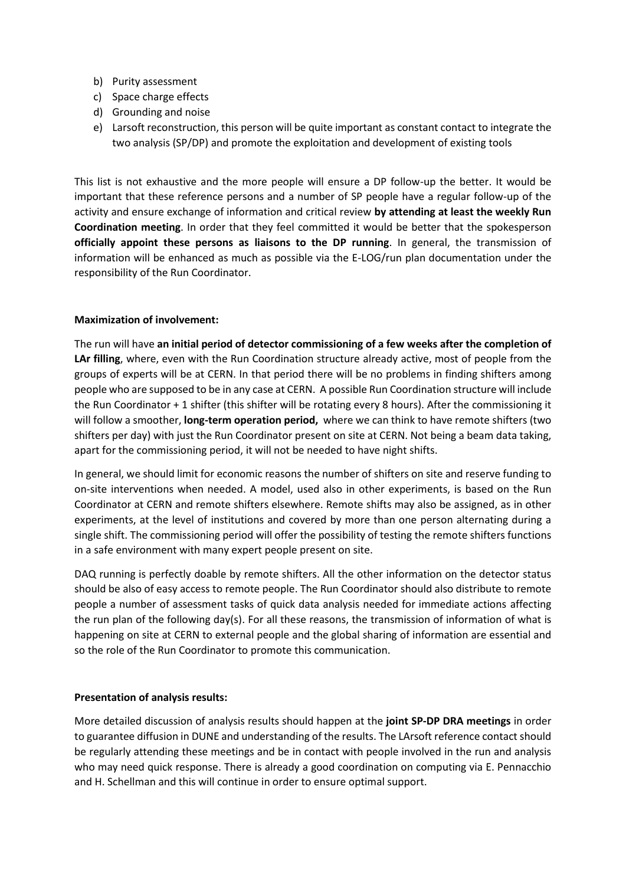- b) Purity assessment
- c) Space charge effects
- d) Grounding and noise
- e) Larsoft reconstruction, this person will be quite important as constant contact to integrate the two analysis (SP/DP) and promote the exploitation and development of existing tools

This list is not exhaustive and the more people will ensure a DP follow-up the better. It would be important that these reference persons and a number of SP people have a regular follow-up of the activity and ensure exchange of information and critical review **by attending at least the weekly Run Coordination meeting**. In order that they feel committed it would be better that the spokesperson **officially appoint these persons as liaisons to the DP running**. In general, the transmission of information will be enhanced as much as possible via the E-LOG/run plan documentation under the responsibility of the Run Coordinator.

#### **Maximization of involvement:**

The run will have **an initial period of detector commissioning of a few weeks after the completion of LAr filling**, where, even with the Run Coordination structure already active, most of people from the groups of experts will be at CERN. In that period there will be no problems in finding shifters among people who are supposed to be in any case at CERN. A possible Run Coordination structure will include the Run Coordinator + 1 shifter (this shifter will be rotating every 8 hours). After the commissioning it will follow a smoother, **long-term operation period,** where we can think to have remote shifters (two shifters per day) with just the Run Coordinator present on site at CERN. Not being a beam data taking, apart for the commissioning period, it will not be needed to have night shifts.

In general, we should limit for economic reasons the number of shifters on site and reserve funding to on-site interventions when needed. A model, used also in other experiments, is based on the Run Coordinator at CERN and remote shifters elsewhere. Remote shifts may also be assigned, as in other experiments, at the level of institutions and covered by more than one person alternating during a single shift. The commissioning period will offer the possibility of testing the remote shifters functions in a safe environment with many expert people present on site.

DAQ running is perfectly doable by remote shifters. All the other information on the detector status should be also of easy access to remote people. The Run Coordinator should also distribute to remote people a number of assessment tasks of quick data analysis needed for immediate actions affecting the run plan of the following day(s). For all these reasons, the transmission of information of what is happening on site at CERN to external people and the global sharing of information are essential and so the role of the Run Coordinator to promote this communication.

#### **Presentation of analysis results:**

More detailed discussion of analysis results should happen at the **joint SP-DP DRA meetings** in order to guarantee diffusion in DUNE and understanding of the results. The LArsoft reference contact should be regularly attending these meetings and be in contact with people involved in the run and analysis who may need quick response. There is already a good coordination on computing via E. Pennacchio and H. Schellman and this will continue in order to ensure optimal support.